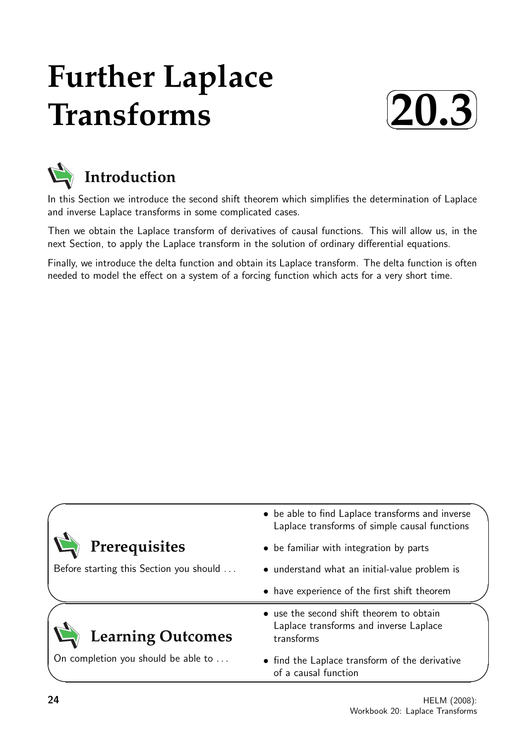# **Further Laplace Transforms**





In this Section we introduce the second shift theorem which simplifies the determination of Laplace and inverse Laplace transforms in some complicated cases.

Then we obtain the Laplace transform of derivatives of causal functions. This will allow us, in the next Section, to apply the Laplace transform in the solution of ordinary differential equations.

Finally, we introduce the delta function and obtain its Laplace transform. The delta function is often needed to model the effect on a system of a forcing function which acts for a very short time.

|                                         | • be able to find Laplace transforms and inverse<br>Laplace transforms of simple causal functions |
|-----------------------------------------|---------------------------------------------------------------------------------------------------|
| Prerequisites                           | • be familiar with integration by parts                                                           |
| Before starting this Section you should | • understand what an initial-value problem is                                                     |
|                                         | • have experience of the first shift theorem                                                      |
| <b>Learning Outcomes</b>                | • use the second shift theorem to obtain<br>Laplace transforms and inverse Laplace<br>transforms  |
| On completion you should be able to     | • find the Laplace transform of the derivative<br>of a causal function                            |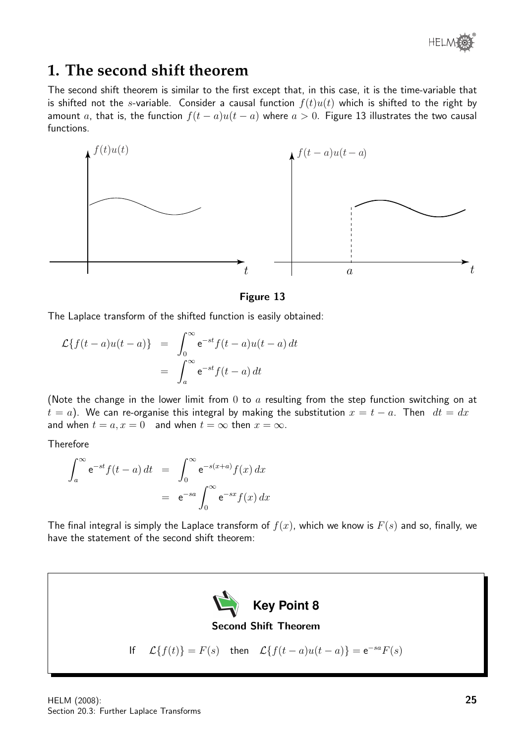

## **1. The second shift theorem**

The second shift theorem is similar to the first except that, in this case, it is the time-variable that is shifted not the s-variable. Consider a causal function  $f(t)u(t)$  which is shifted to the right by amount a, that is, the function  $f(t-a)u(t-a)$  where  $a>0$ . Figure 13 illustrates the two causal functions.



### Figure 13

The Laplace transform of the shifted function is easily obtained:

$$
\mathcal{L}\lbrace f(t-a)u(t-a)\rbrace = \int_0^\infty e^{-st}f(t-a)u(t-a) dt
$$

$$
= \int_a^\infty e^{-st}f(t-a) dt
$$

(Note the change in the lower limit from  $0$  to  $a$  resulting from the step function switching on at  $t = a$ ). We can re-organise this integral by making the substitution  $x = t - a$ . Then  $dt = dx$ and when  $t = a, x = 0$  and when  $t = \infty$  then  $x = \infty$ .

**Therefore** 

$$
\int_{a}^{\infty} e^{-st} f(t-a) dt = \int_{0}^{\infty} e^{-s(x+a)} f(x) dx
$$

$$
= e^{-sa} \int_{0}^{\infty} e^{-sx} f(x) dx
$$

The final integral is simply the Laplace transform of  $f(x)$ , which we know is  $F(s)$  and so, finally, we have the statement of the second shift theorem:

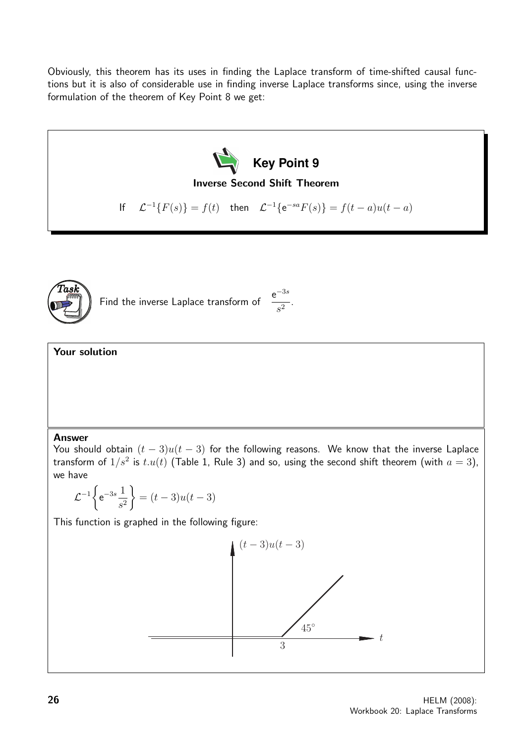Obviously, this theorem has its uses in finding the Laplace transform of time-shifted causal functions but it is also of considerable use in finding inverse Laplace transforms since, using the inverse formulation of the theorem of Key Point 8 we get:





Find the inverse Laplace transform of  $e^{-3s}$  $\frac{1}{s^2}$ .

## Your solution

#### Answer

You should obtain  $(t - 3)u(t - 3)$  for the following reasons. We know that the inverse Laplace transform of  $1/s^2$  is  $t.u(t)$  (Table 1, Rule 3) and so, using the second shift theorem (with  $a=3$ ), we have

$$
\mathcal{L}^{-1}\left\{e^{-3s}\frac{1}{s^2}\right\} = (t-3)u(t-3)
$$

This function is graphed in the following figure:

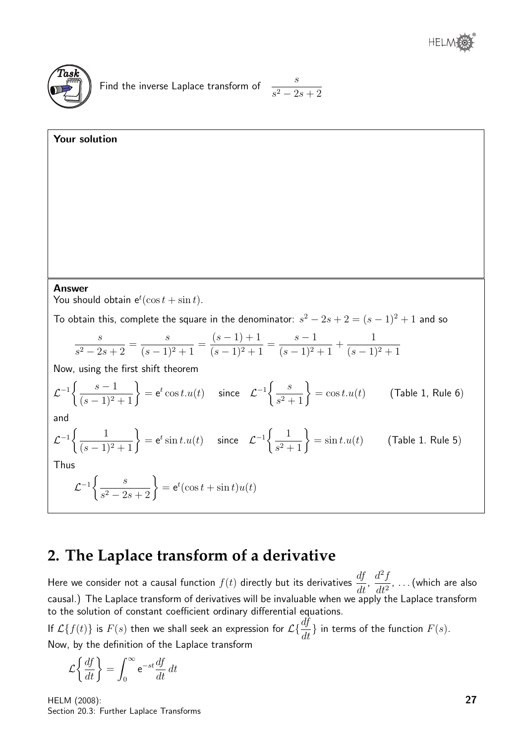

$$
\frac{s}{s^2 - 2s + 2}
$$

Your solution  
\nAnswer  
\nYou should obtain 
$$
e^t(\cos t + \sin t)
$$
.  
\nTo obtain this, complete the square in the denominator:  $s^2 - 2s + 2 = (s - 1)^2 + 1$  and so  
\n
$$
\frac{s}{s^2 - 2s + 2} = \frac{s}{(s - 1)^2 + 1} = \frac{(s - 1) + 1}{(s - 1)^2 + 1} = \frac{s - 1}{(s - 1)^2 + 1} + \frac{1}{(s - 1)^2 + 1}
$$
\nNow, using the first shift theorem  
\n
$$
\mathcal{L}^{-1}\left\{\frac{s - 1}{(s - 1)^2 + 1}\right\} = e^t \cos t \cdot u(t) \quad \text{since} \quad \mathcal{L}^{-1}\left\{\frac{s}{s^2 + 1}\right\} = \cos t \cdot u(t) \quad \text{(Table 1, Rule 6)}
$$
\nand  
\n
$$
\mathcal{L}^{-1}\left\{\frac{1}{(s - 1)^2 + 1}\right\} = e^t \sin t \cdot u(t) \quad \text{since} \quad \mathcal{L}^{-1}\left\{\frac{1}{s^2 + 1}\right\} = \sin t \cdot u(t) \quad \text{(Table 1, Rule 5)}
$$
\nThus  
\n
$$
\mathcal{L}^{-1}\left\{\frac{s}{s^2 - 2s + 2}\right\} = e^t(\cos t + \sin t)u(t)
$$

# **2. The Laplace transform of a derivative**

Here we consider not a causal function  $f(t)$  directly but its derivatives  $\frac{df}{dt}$  $\frac{dy}{dt}$ ,  $d^2f$  $\frac{d^{2}y}{dt^{2}}$ , ... (which are also causal.) The Laplace transform of derivatives will be invaluable when we apply the Laplace transform to the solution of constant coefficient ordinary differential equations.

If  $\mathcal{L}\{f(t)\}$  is  $F(s)$  then we shall seek an expression for  $\mathcal{L}\{\frac{df}{dt}\}$  in terms of the function  $F(s)$ . Now, by the definition of the Laplace transform

$$
\mathcal{L}\left\{\frac{df}{dt}\right\} = \int_0^\infty e^{-st} \frac{df}{dt} dt
$$

HELM (2008): Section 20.3: Further Laplace Transforms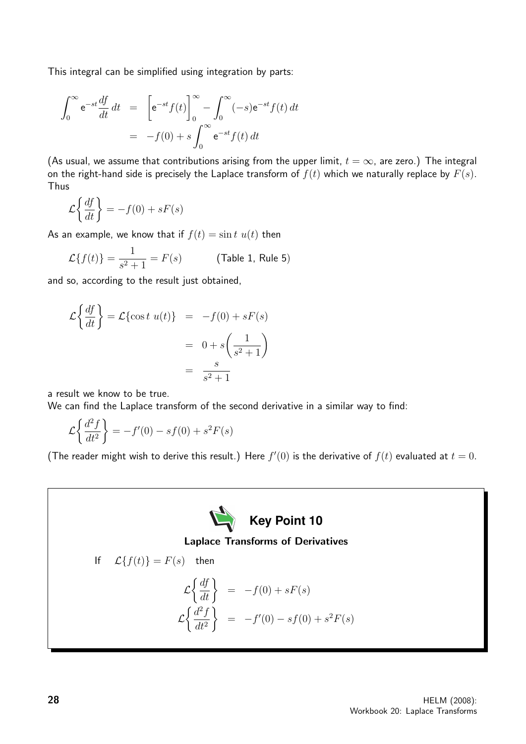This integral can be simplified using integration by parts:

$$
\int_0^\infty e^{-st} \frac{df}{dt} dt = \left[ e^{-st} f(t) \right]_0^\infty - \int_0^\infty (-s) e^{-st} f(t) dt
$$

$$
= -f(0) + s \int_0^\infty e^{-st} f(t) dt
$$

(As usual, we assume that contributions arising from the upper limit,  $t = \infty$ , are zero.) The integral on the right-hand side is precisely the Laplace transform of  $f(t)$  which we naturally replace by  $F(s)$ . Thus

$$
\mathcal{L}\left\{\frac{df}{dt}\right\} = -f(0) + sF(s)
$$

As an example, we know that if  $f(t) = \sin t \ u(t)$  then

$$
\mathcal{L}{f(t)} = \frac{1}{s^2 + 1} = F(s) \quad \text{(Table 1, Rule 5)}
$$

and so, according to the result just obtained,

$$
\mathcal{L}\left\{\frac{df}{dt}\right\} = \mathcal{L}\left\{\cos t \ u(t)\right\} = -f(0) + sF(s)
$$

$$
= 0 + s\left(\frac{1}{s^2 + 1}\right)
$$

$$
= \frac{s}{s^2 + 1}
$$

a result we know to be true.

We can find the Laplace transform of the second derivative in a similar way to find:

$$
\mathcal{L}\left\{\frac{d^2f}{dt^2}\right\} = -f'(0) - sf(0) + s^2F(s)
$$

(The reader might wish to derive this result.) Here  $f'(0)$  is the derivative of  $f(t)$  evaluated at  $t = 0$ .

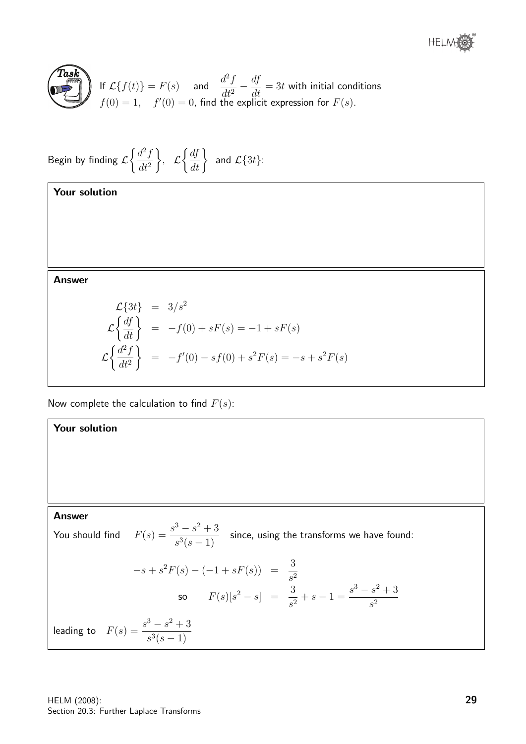



If 
$$
\mathcal{L}{f(t)} = F(s)
$$
 and  $\frac{d^2 f}{dt^2} - \frac{df}{dt} = 3t$  with initial conditions  $f(0) = 1$ ,  $f'(0) = 0$ , find the explicit expression for  $F(s)$ .

Begin by finding 
$$
\mathcal{L}\left\{\frac{d^2f}{dt^2}\right\}
$$
,  $\mathcal{L}\left\{\frac{df}{dt}\right\}$  and  $\mathcal{L}\left\{3t\right\}$ :

Your solution

Answer

$$
\mathcal{L}\lbrace 3t \rbrace = 3/s^2
$$
  
\n
$$
\mathcal{L}\left\lbrace \frac{df}{dt} \right\rbrace = -f(0) + sF(s) = -1 + sF(s)
$$
  
\n
$$
\mathcal{L}\left\lbrace \frac{d^2f}{dt^2} \right\rbrace = -f'(0) - sf(0) + s^2F(s) = -s + s^2F(s)
$$

Now complete the calculation to find  $F(s)$ :

## Your solution

#### Answer

You should find 
$$
F(s) = \frac{s^3 - s^2 + 3}{s^3(s - 1)}
$$
 since, using the transforms we have found:  
\n
$$
-s + s^2 F(s) - (-1 + sF(s)) = \frac{3}{s^2}
$$
\nso  $F(s)[s^2 - s] = \frac{3}{s^2} + s - 1 = \frac{s^3 - s^2 + 3}{s^2}$   
\nleading to  $F(s) = \frac{s^3 - s^2 + 3}{s^3(s - 1)}$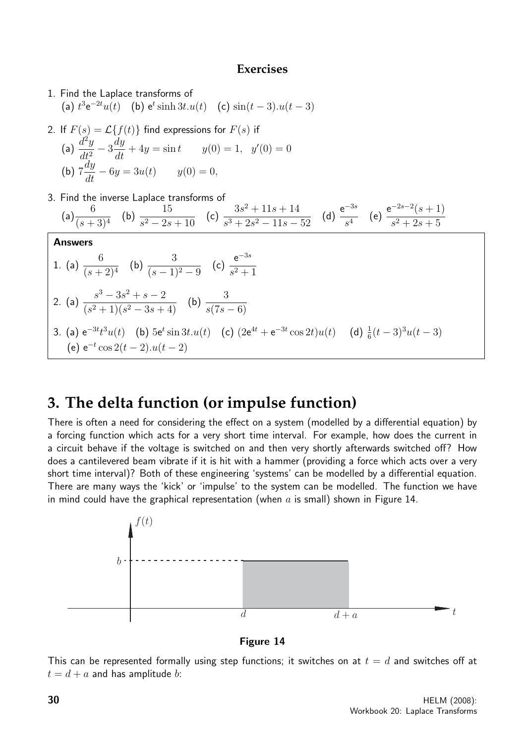## **Exercises**

- 1. Find the Laplace transforms of (a)  $t^3 e^{-2t} u(t)$  (b)  $e^t \sinh 3t \cdot u(t)$  (c)  $\sin(t-3) \cdot u(t-3)$
- 2. If  $F(s) = \mathcal{L}{f(t)}$  find expressions for  $F(s)$  if (a)  $\frac{d^2y}{dt^2}$  $dt^2$  $-3\frac{dy}{dt} + 4y = \sin t$   $y(0) = 1$ ,  $y'(0) = 0$ (b) 7  $\frac{dy}{dt} - 6y = 3u(t)$   $y(0) = 0,$
- 3. Find the inverse Laplace transforms of

(a) 
$$
\frac{6}{(s+3)^4}
$$
 (b)  $\frac{15}{s^2 - 2s + 10}$  (c)  $\frac{3s^2 + 11s + 14}{s^3 + 2s^2 - 11s - 52}$  (d)  $\frac{e^{-3s}}{s^4}$  (e)  $\frac{e^{-2s-2}(s+1)}{s^2 + 2s + 5}$   
\nAnswers  
\n1. (a)  $\frac{6}{(s+2)^4}$  (b)  $\frac{3}{(s-1)^2 - 9}$  (c)  $\frac{e^{-3s}}{s^2 + 1}$   
\n2. (a)  $\frac{s^3 - 3s^2 + s - 2}{(s^2 + 1)(s^2 - 3s + 4)}$  (b)  $\frac{3}{s(7s - 6)}$   
\n3. (a)  $e^{-3t}t^3u(t)$  (b)  $5e^t \sin 3t.u(t)$  (c)  $(2e^{4t} + e^{-3t} \cos 2t)u(t)$  (d)  $\frac{1}{6}(t-3)^3u(t-3)$   
\n(e)  $e^{-t} \cos 2(t-2).u(t-2)$ 

# **3. The delta function (or impulse function)**

There is often a need for considering the effect on a system (modelled by a differential equation) by a forcing function which acts for a very short time interval. For example, how does the current in a circuit behave if the voltage is switched on and then very shortly afterwards switched off? How does a cantilevered beam vibrate if it is hit with a hammer (providing a force which acts over a very short time interval)? Both of these engineering 'systems' can be modelled by a differential equation. There are many ways the 'kick' or 'impulse' to the system can be modelled. The function we have in mind could have the graphical representation (when  $a$  is small) shown in Figure 14.



Figure 14

This can be represented formally using step functions; it switches on at  $t = d$  and switches off at  $t = d + a$  and has amplitude b: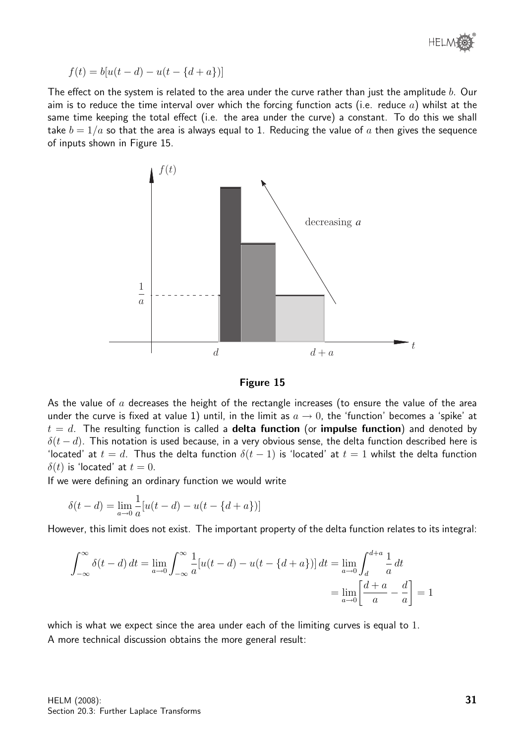

$$
f(t) = b[u(t - d) - u(t - \{d + a\})]
$$

The effect on the system is related to the area under the curve rather than just the amplitude b. Our aim is to reduce the time interval over which the forcing function acts (i.e. reduce  $a$ ) whilst at the same time keeping the total effect (i.e. the area under the curve) a constant. To do this we shall take  $b = 1/a$  so that the area is always equal to 1. Reducing the value of a then gives the sequence of inputs shown in Figure 15.





As the value of  $a$  decreases the height of the rectangle increases (to ensure the value of the area under the curve is fixed at value 1) until, in the limit as  $a \to 0$ , the 'function' becomes a 'spike' at  $t = d$ . The resulting function is called a **delta function** (or **impulse function**) and denoted by  $\delta(t-d)$ . This notation is used because, in a very obvious sense, the delta function described here is 'located' at  $t = d$ . Thus the delta function  $\delta(t - 1)$  is 'located' at  $t = 1$  whilst the delta function  $\delta(t)$  is 'located' at  $t = 0$ .

If we were defining an ordinary function we would write

$$
\delta(t - d) = \lim_{a \to 0} \frac{1}{a} [u(t - d) - u(t - \{d + a\})]
$$

However, this limit does not exist. The important property of the delta function relates to its integral:

$$
\int_{-\infty}^{\infty} \delta(t - d) dt = \lim_{a \to 0} \int_{-\infty}^{\infty} \frac{1}{a} [u(t - d) - u(t - \{d + a\})] dt = \lim_{a \to 0} \int_{d}^{d + a} \frac{1}{a} dt
$$
  
= 
$$
\lim_{a \to 0} \left[ \frac{d + a}{a} - \frac{d}{a} \right] = 1
$$

which is what we expect since the area under each of the limiting curves is equal to 1. A more technical discussion obtains the more general result: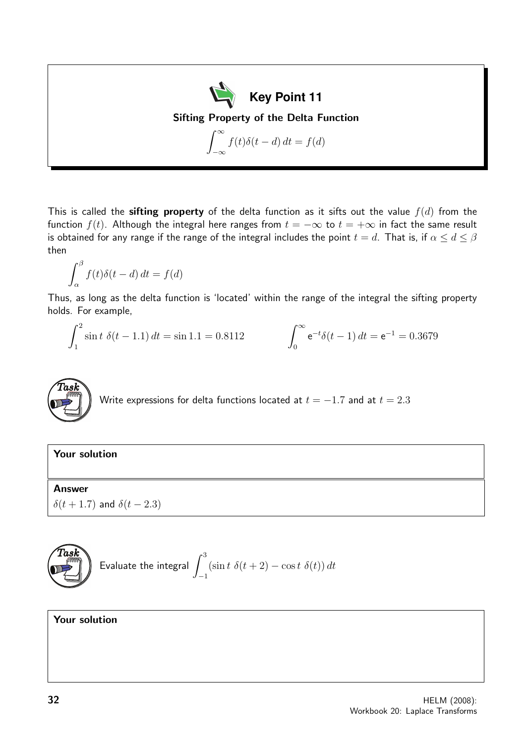**Key Point 11** Sifting Property of the Delta Function  $\int^{\infty}$  $-\infty$  $f(t)\delta(t-d) dt = f(d)$ 

This is called the **sifting property** of the delta function as it sifts out the value  $f(d)$  from the function  $f(t)$ . Although the integral here ranges from  $t = -\infty$  to  $t = +\infty$  in fact the same result is obtained for any range if the range of the integral includes the point  $t = d$ . That is, if  $\alpha \leq d \leq \beta$ then

$$
\int_{\alpha}^{\beta} f(t)\delta(t-d) dt = f(d)
$$

Thus, as long as the delta function is 'located' within the range of the integral the sifting property holds. For example,

$$
\int_{1}^{2} \sin t \, \delta(t - 1.1) \, dt = \sin 1.1 = 0.8112 \qquad \qquad \int_{0}^{\infty} e^{-t} \delta(t - 1) \, dt = e^{-1} = 0.3679
$$



## Your solution

## Answer

 $\delta(t + 1.7)$  and  $\delta(t - 2.3)$ 



## Your solution